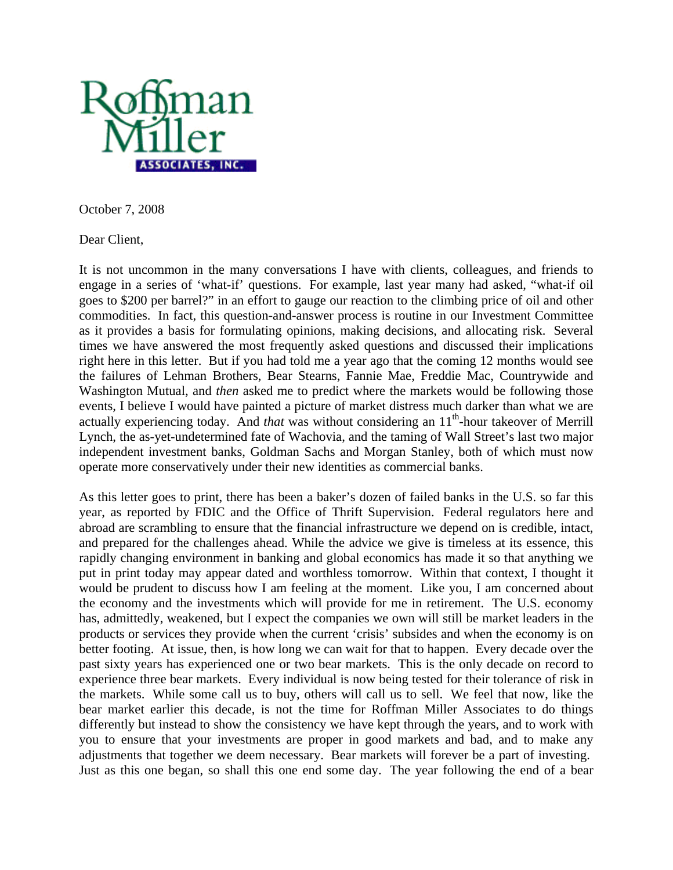

October 7, 2008

Dear Client,

It is not uncommon in the many conversations I have with clients, colleagues, and friends to engage in a series of 'what-if' questions. For example, last year many had asked, "what-if oil goes to \$200 per barrel?" in an effort to gauge our reaction to the climbing price of oil and other commodities. In fact, this question-and-answer process is routine in our Investment Committee as it provides a basis for formulating opinions, making decisions, and allocating risk. Several times we have answered the most frequently asked questions and discussed their implications right here in this letter. But if you had told me a year ago that the coming 12 months would see the failures of Lehman Brothers, Bear Stearns, Fannie Mae, Freddie Mac, Countrywide and Washington Mutual, and *then* asked me to predict where the markets would be following those events, I believe I would have painted a picture of market distress much darker than what we are actually experiencing today. And *that* was without considering an 11<sup>th</sup>-hour takeover of Merrill Lynch, the as-yet-undetermined fate of Wachovia, and the taming of Wall Street's last two major independent investment banks, Goldman Sachs and Morgan Stanley, both of which must now operate more conservatively under their new identities as commercial banks.

As this letter goes to print, there has been a baker's dozen of failed banks in the U.S. so far this year, as reported by FDIC and the Office of Thrift Supervision. Federal regulators here and abroad are scrambling to ensure that the financial infrastructure we depend on is credible, intact, and prepared for the challenges ahead. While the advice we give is timeless at its essence, this rapidly changing environment in banking and global economics has made it so that anything we put in print today may appear dated and worthless tomorrow. Within that context, I thought it would be prudent to discuss how I am feeling at the moment. Like you, I am concerned about the economy and the investments which will provide for me in retirement. The U.S. economy has, admittedly, weakened, but I expect the companies we own will still be market leaders in the products or services they provide when the current 'crisis' subsides and when the economy is on better footing. At issue, then, is how long we can wait for that to happen. Every decade over the past sixty years has experienced one or two bear markets. This is the only decade on record to experience three bear markets. Every individual is now being tested for their tolerance of risk in the markets. While some call us to buy, others will call us to sell. We feel that now, like the bear market earlier this decade, is not the time for Roffman Miller Associates to do things differently but instead to show the consistency we have kept through the years, and to work with you to ensure that your investments are proper in good markets and bad, and to make any adjustments that together we deem necessary. Bear markets will forever be a part of investing. Just as this one began, so shall this one end some day. The year following the end of a bear